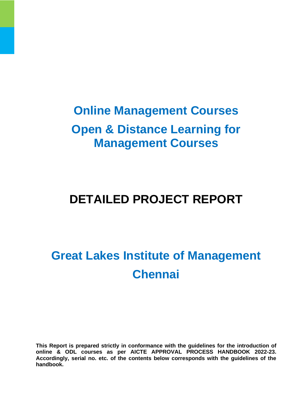# **Online Management Courses Open & Distance Learning for Management Courses**

# **DETAILED PROJECT REPORT**

# **Great Lakes Institute of Management Chennai**

**This Report is prepared strictly in conformance with the guidelines for the introduction of online & ODL courses as per AICTE APPROVAL PROCESS HANDBOOK 2022-23. Accordingly, serial no. etc. of the contents below corresponds with the guidelines of the handbook.**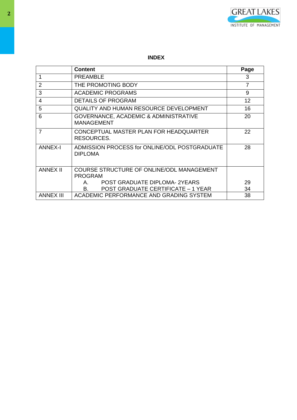

# **INDEX**

|                  | Content                                                         | Page |
|------------------|-----------------------------------------------------------------|------|
| 1                | PREAMBLE                                                        | 3    |
| $\overline{2}$   | THE PROMOTING BODY                                              | 7    |
| 3                | <b>ACADEMIC PROGRAMS</b>                                        | 9    |
| $\overline{4}$   | <b>DETAILS OF PROGRAM</b>                                       | 12   |
| 5                | <b>QUALITY AND HUMAN RESOURCE DEVELOPMENT</b>                   | 16   |
| 6                | GOVERNANCE, ACADEMIC & ADMINISTRATIVE<br><b>MANAGEMENT</b>      | 20   |
| $\overline{7}$   | CONCEPTUAL MASTER PLAN FOR HEADQUARTER<br>RESOURCES.            | 22   |
| <b>ANNEX-I</b>   | ADMISSION PROCESS for ONLINE/ODL POSTGRADUATE<br><b>DIPLOMA</b> | 28   |
| <b>ANNEX II</b>  | COURSE STRUCTURE OF ONLINE/ODL MANAGEMENT<br>PROGRAM            |      |
|                  | <b>POST GRADUATE DIPLOMA-2YEARS</b><br>Α.                       | 29   |
|                  | <b>POST GRADUATE CERTIFICATE - 1 YEAR</b><br>В.                 | 34   |
| <b>ANNEX III</b> | ACADEMIC PERFORMANCE AND GRADING SYSTEM                         | 38   |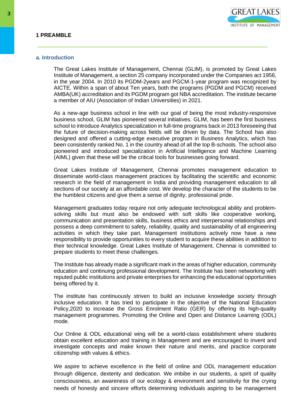#### **a. Introduction**

The Great Lakes Institute of Management, Chennai (GLIM), is promoted by Great Lakes Institute of Management, a section 25 company incorporated under the Companies act 1956, in the year 2004. In 2010 its PGDM-2years and PGCM-1-year program was recognized by AICTE. Within a span of about Ten years, both the programs (PGDM and PGCM) received AMBA(UK) accreditation and its PGDM program got NBA accreditation. The institute became a member of AIU (Association of Indian Universities) in 2021.

As a new-age business school in line with our goal of being the most industry-responsive business school, GLIM has pioneered several initiatives. GLIM, has been the first business school to introduce Analytics specialization in full-time programs back in 2013 foreseeing that the future of decision-making across fields will be driven by data. The School has also designed and offered a cutting-edge executive program in Business Analytics, which has been consistently ranked No. 1 in the country ahead of all the top B-schools. The school also pioneered and introduced specialization in Artificial Intelligence and Machine Learning (AIML) given that these will be the critical tools for businesses going forward.

Great Lakes Institute of Management, Chennai promotes management education to disseminate world-class management practices by facilitating the scientific and economic research in the field of management in India and providing management education to all sections of our society at an affordable cost. We develop the character of the students to be the humblest citizens and give them a sense of dignity, professional pride.

Management graduates today require not only adequate technological ability and problemsolving skills but must also be endowed with soft skills like cooperative working, communication and presentation skills, business ethics and interpersonal relationships and possess a deep commitment to safety, reliability, quality and sustainability of all engineering activities in which they take part. Management institutions actively now have a new responsibility to provide opportunities to every student to acquire these abilities in addition to their technical knowledge. Great Lakes Institute of Management, Chennai is committed to prepare students to meet these challenges.

The Institute has already made a significant mark in the areas of higher education, community education and continuing professional development. The Institute has been networking with reputed public institutions and private enterprises for enhancing the educational opportunities being offered by it.

The institute has continuously striven to build an inclusive knowledge society through inclusive education. It has tried to participate in the objective of the National Education Policy,2020 to increase the Gross Enrolment Ratio (GER) by offering its high-quality management programmes. Promoting the Online and Open and Distance Learning (ODL) mode.

Our Online & ODL educational wing will be a world-class establishment where students obtain excellent education and training in Management and are encouraged to invent and investigate concepts and make known their nature and merits, and practice corporate citizenship with values & ethics.

We aspire to achieve excellence in the field of online and ODL management education through diligence, dexterity and dedication. We imbibe in our students, a spirit of quality consciousness, an awareness of our ecology & environment and sensitivity for the crying needs of honesty and sincere efforts determining individuals aspiring to be management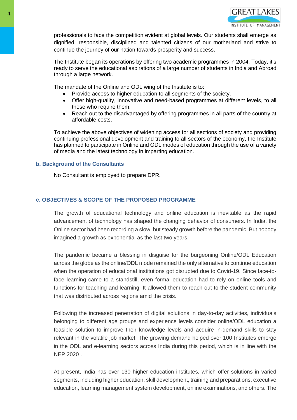professionals to face the competition evident at global levels. Our students shall emerge as dignified, responsible, disciplined and talented citizens of our motherland and strive to continue the journey of our nation towards prosperity and success.

The Institute began its operations by offering two academic programmes in 2004. Today, it's ready to serve the educational aspirations of a large number of students in India and Abroad through a large network.

The mandate of the Online and ODL wing of the Institute is to:

- Provide access to higher education to all segments of the society.
- Offer high-quality, innovative and need-based programmes at different levels, to all those who require them.
- Reach out to the disadvantaged by offering programmes in all parts of the country at affordable costs.

To achieve the above objectives of widening access for all sections of society and providing continuing professional development and training to all sectors of the economy, the Institute has planned to participate in Online and ODL modes of education through the use of a variety of media and the latest technology in imparting education.

# **b. Background of the Consultants**

No Consultant is employed to prepare DPR.

# **c. OBJECTIVES & SCOPE OF THE PROPOSED PROGRAMME**

The growth of educational technology and online education is inevitable as the rapid advancement of technology has shaped the changing behavior of consumers. In India, the Online sector had been recording a slow, but steady growth before the pandemic. But nobody imagined a growth as exponential as the last two years.

The pandemic became a blessing in disguise for the burgeoning Online/ODL Education across the globe as the online/ODL mode remained the only alternative to continue education when the operation of educational institutions got disrupted due to Covid-19. Since face-toface learning came to a standstill, even formal education had to rely on online tools and functions for teaching and learning. It allowed them to reach out to the student community that was distributed across regions amid the crisis.

Following the increased penetration of digital solutions in day-to-day activities, individuals belonging to different age groups and experience levels consider online/ODL education a feasible solution to improve their knowledge levels and acquire in-demand skills to stay relevant in the volatile job market. The growing demand helped over 100 Institutes emerge in the ODL and e-learning sectors across India during this period, which is in line with the NEP 2020 .

At present, India has over 130 higher education institutes, which offer solutions in varied segments, including higher education, skill development, training and preparations, executive education, learning management system development, online examinations, and others. The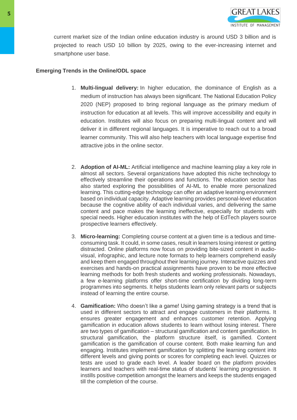

current market size of the Indian online education industry is around USD 3 billion and is projected to reach USD 10 billion by 2025, owing to the ever-increasing internet and smartphone user base.

# **Emerging Trends in the Online/ODL space**

- 1. **Multi-lingual delivery:** In higher education, the dominance of English as a medium of instruction has always been significant. The National Education Policy 2020 (NEP) proposed to bring regional language as the primary medium of instruction for education at all levels. This will improve accessibility and equity in education. Institutes will also focus on preparing multi-lingual content and will deliver it in different regional languages. It is imperative to reach out to a broad learner community. This will also help teachers with local language expertise find attractive jobs in the online sector.
- 2. **Adoption of AI-ML:** Artificial intelligence and machine learning play a key role in almost all sectors. Several organizations have adopted this niche technology to effectively streamline their operations and functions. The education sector has also started exploring the possibilities of AI-ML to enable more personalized learning. This cutting-edge technology can offer an adaptive learning environment based on individual capacity. Adaptive learning provides personal-level education because the cognitive ability of each individual varies, and delivering the same content and pace makes the learning ineffective, especially for students with special needs. Higher education institutes with the help of EdTech players source prospective learners effectively.
- 3. **Micro-learning:** Completing course content at a given time is a tedious and timeconsuming task. It could, in some cases, result in learners losing interest or getting distracted. Online platforms now focus on providing bite-sized content in audiovisual, infographic, and lecture note formats to help learners comprehend easily and keep them engaged throughout their learning journey. Interactive quizzes and exercises and hands-on practical assignments have proven to be more effective learning methods for both fresh students and working professionals. Nowadays, a few e-learning platforms offer short-time certification by dividing long-term programmes into segments. It helps students learn only relevant parts or subjects instead of learning the entire course.
- 4. **Gamification:** Who doesn't like a game! Using gaming strategy is a trend that is used in different sectors to attract and engage customers in their platforms. It ensures greater engagement and enhances customer retention. Applying gamification in education allows students to learn without losing interest. There are two types of gamification – structural gamification and content gamification. In structural gamification, the platform structure itself, is gamified. Content gamification is the gamification of course content. Both make learning fun and engaging. Institutes implement gamification by splitting the learning content into different levels and giving points or scores for completing each level. Quizzes or tests are used to grade each level. A leader board on the platform provides learners and teachers with real-time status of students' learning progression. It instills positive competition amongst the learners and keeps the students engaged till the completion of the course.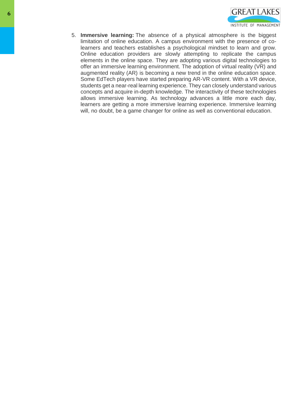

5. **Immersive learning:** The absence of a physical atmosphere is the biggest limitation of online education. A campus environment with the presence of colearners and teachers establishes a psychological mindset to learn and grow. Online education providers are slowly attempting to replicate the campus elements in the online space. They are adopting various digital technologies to offer an immersive learning environment. The adoption of virtual reality (VR) and augmented reality (AR) is becoming a new trend in the online education space. Some EdTech players have started preparing AR-VR content. With a VR device, students get a near-real learning experience. They can closely understand various concepts and acquire in-depth knowledge. The interactivity of these technologies allows immersive learning. As technology advances a little more each day, learners are getting a more immersive learning experience. Immersive learning will, no doubt, be a game changer for online as well as conventional education.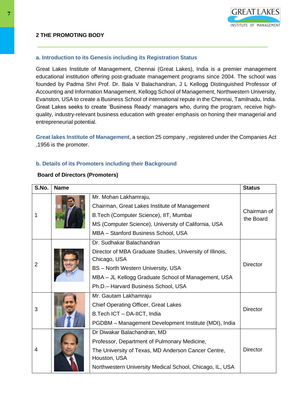# **a. Introduction to its Genesis including its Registration Status**

Great Lakes Institute of Management, Chennai (Great Lakes), India is a premier management educational institution offering post-graduate management programs since 2004. The school was founded by Padma Shri Prof. Dr. Bala V Balachandran, J L Kellogg Distinguished Professor of Accounting and Information Management, Kellogg School of Management, Northwestern University, Evanston, USA to create a Business School of international repute in the Chennai, Tamilnadu, India. Great Lakes seeks to create 'Business Ready' managers who, during the program, receive highquality, industry-relevant business education with greater emphasis on honing their managerial and entrepreneurial potential.

**Great lakes Institute of Management**, a section 25 company , registered under the Companies Act ,1956 is the promoter.

# **b. Details of its Promoters including their Background**

# **Board of Directors (Promoters)**

| S.No.          | <b>Name</b> |                                                                     | <b>Status</b>   |
|----------------|-------------|---------------------------------------------------------------------|-----------------|
|                |             | Mr. Mohan Lakhamraju,                                               |                 |
|                |             | Chairman, Great Lakes Institute of Management                       | Chairman of     |
|                |             | B. Tech (Computer Science), IIT, Mumbai                             | the Board       |
|                |             | MS (Computer Science), University of California, USA                |                 |
|                |             | MBA - Stanford Business School, USA                                 |                 |
|                |             | Dr. Sudhakar Balachandran                                           |                 |
|                |             | Director of MBA Graduate Studies, University of Illinois,           |                 |
| $\overline{2}$ |             | Chicago, USA                                                        | Director        |
|                |             | <b>BS</b> - North Western University, USA                           |                 |
|                |             | MBA - JL Kellogg Graduate School of Management, USA                 |                 |
|                |             | Ph.D. - Harvard Business School, USA                                |                 |
|                |             | Mr. Gautam Lakhamraju                                               |                 |
| 3              |             | <b>Chief Operating Officer, Great Lakes</b>                         | Director        |
|                |             | B.Tech ICT - DA-IICT, India                                         |                 |
|                |             | PGDBM - Management Development Institute (MDI), India               |                 |
|                |             | Dr Diwakar Balachandran, MD                                         |                 |
| 4              |             | Professor, Department of Pulmonary Medicine,                        |                 |
|                |             | The University of Texas, MD Anderson Cancer Centre,<br>Houston, USA | <b>Director</b> |
|                |             | Northwestern University Medical School, Chicago, IL, USA            |                 |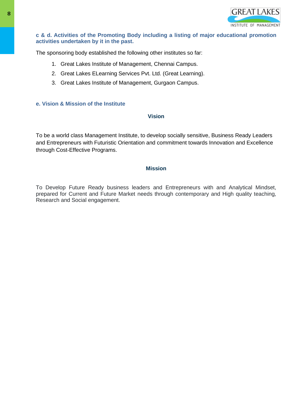

# **c & d. Activities of the Promoting Body including a listing of major educational promotion activities undertaken by it in the past.**

The sponsoring body established the following other institutes so far:

- 1. Great Lakes Institute of Management, Chennai Campus.
- 2. Great Lakes ELearning Services Pvt. Ltd. (Great Learning).
- 3. Great Lakes Institute of Management, Gurgaon Campus.

# **e. Vision & Mission of the Institute**

#### **Vision**

To be a world class Management Institute, to develop socially sensitive, Business Ready Leaders and Entrepreneurs with Futuristic Orientation and commitment towards Innovation and Excellence through Cost-Effective Programs.

# **Mission**

To Develop Future Ready business leaders and Entrepreneurs with and Analytical Mindset, prepared for Current and Future Market needs through contemporary and High quality teaching, Research and Social engagement.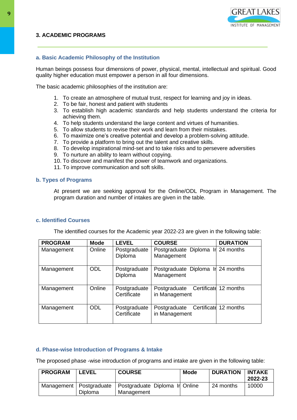# **3. ACADEMIC PROGRAMS**



# **a. Basic Academic Philosophy of the Institution**

Human beings possess four dimensions of power, physical, mental, intellectual and spiritual. Good quality higher education must empower a person in all four dimensions.

The basic academic philosophies of the institution are:

- 1. To create an atmosphere of mutual trust, respect for learning and joy in ideas.
- 2. To be fair, honest and patient with students
- 3. To establish high academic standards and help students understand the criteria for achieving them.
- 4. To help students understand the large content and virtues of humanities.
- 5. To allow students to revise their work and learn from their mistakes.
- 6. To maximize one's creative potential and develop a problem-solving attitude.
- 7. To provide a platform to bring out the talent and creative skills.
- 8. To develop inspirational mind-set and to take risks and to persevere adversities
- 9. To nurture an ability to learn without copying.
- 10. To discover and manifest the power of teamwork and organizations.
- 11. To improve communication and soft skills.

#### **b. Types of Programs**

At present we are seeking approval for the Online/ODL Program in Management. The program duration and number of intakes are given in the table.

#### **c. Identified Courses**

The identified courses for the Academic year 2022-23 are given in the following table:

| <b>PROGRAM</b> | <b>Mode</b> | <b>LEVEL</b>                | <b>COURSE</b>                                   | <b>DURATION</b>       |
|----------------|-------------|-----------------------------|-------------------------------------------------|-----------------------|
| Management     | Online      | Postgraduate<br>Diploma     | Postgraduate Diploma Ir 24 months<br>Management |                       |
| Management     | <b>ODL</b>  | Postgraduate<br>Diploma     | Postgraduate Diploma In 24 months<br>Management |                       |
| Management     | Online      | Postgraduate<br>Certificate | Postgraduate<br>in Management                   | Certificate 12 months |
| Management     | <b>ODL</b>  | Postgraduate<br>Certificate | Postgraduate<br>in Management                   | Certificate 12 months |

# **d. Phase-wise Introduction of Programs & Intake**

The proposed phase -wise introduction of programs and intake are given in the following table:

| <b>PROGRAM</b> | <b>LEVEL</b> | <b>COURSE</b>                                                            | Mode | <b>DURATION INTAKE</b> | 2022-23 |
|----------------|--------------|--------------------------------------------------------------------------|------|------------------------|---------|
|                | Diploma      | Management   Postgraduate   Postgraduate Diploma In Online<br>Management |      | 24 months              | 10000   |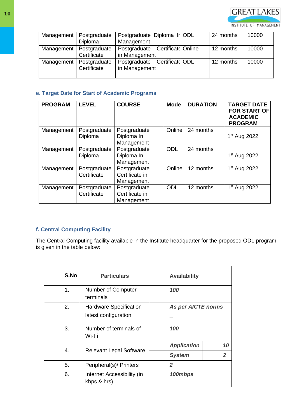

| Management | Postgraduate<br>Diploma     | Postgraduate Diploma In ODL<br>Management        | 24 months | 10000 |
|------------|-----------------------------|--------------------------------------------------|-----------|-------|
| Management | Postgraduate<br>Certificate | Postgraduate Certificate Online<br>in Management | 12 months | 10000 |
| Management | Postgraduate<br>Certificate | Postgraduate Certificate ODL<br>in Management    | 12 months | 10000 |

# **e. Target Date for Start of Academic Programs**

| <b>PROGRAM</b> | <b>LEVEL</b>                | <b>COURSE</b>                                | <b>Mode</b> | <b>DURATION</b> | <b>TARGET DATE</b><br><b>FOR START OF</b><br><b>ACADEMIC</b><br><b>PROGRAM</b> |
|----------------|-----------------------------|----------------------------------------------|-------------|-----------------|--------------------------------------------------------------------------------|
| Management     | Postgraduate<br>Diploma     | Postgraduate<br>Diploma In<br>Management     | Online      | 24 months       | $1st$ Aug 2022                                                                 |
| Management     | Postgraduate<br>Diploma     | Postgraduate<br>Diploma In<br>Management     | <b>ODL</b>  | 24 months       | $1st$ Aug 2022                                                                 |
| Management     | Postgraduate<br>Certificate | Postgraduate<br>Certificate in<br>Management | Online      | 12 months       | 1 <sup>st</sup> Aug 2022                                                       |
| Management     | Postgraduate<br>Certificate | Postgraduate<br>Certificate in<br>Management | <b>ODL</b>  | 12 months       | 1 <sup>st</sup> Aug 2022                                                       |

# **f. Central Computing Facility**

The Central Computing facility available in the Institute headquarter for the proposed ODL program is given in the table below:

| S.No | <b>Particulars</b>                        | <b>Availability</b>       |                |  |
|------|-------------------------------------------|---------------------------|----------------|--|
| 1.   | Number of Computer<br>terminals           | 100                       |                |  |
| 2.   | <b>Hardware Specification</b>             | <b>As per AICTE norms</b> |                |  |
|      | latest configuration                      |                           |                |  |
| 3.   | Number of terminals of<br>Wi-Fi           | 100                       |                |  |
|      |                                           | <b>Application</b>        | 10             |  |
| 4.   | <b>Relevant Legal Software</b>            | <b>System</b>             | $\overline{2}$ |  |
| 5.   | Peripheral(s)/ Printers                   | $\overline{2}$            |                |  |
| 6.   | Internet Accessibility (in<br>kbps & hrs) | 100mbps                   |                |  |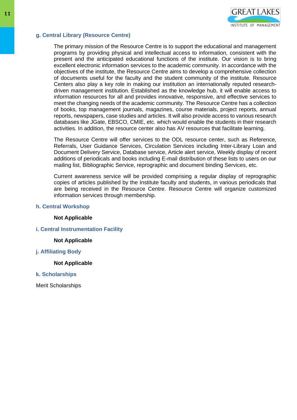

# **g. Central Library (Resource Centre)**

The primary mission of the Resource Centre is to support the educational and management programs by providing physical and intellectual access to information, consistent with the present and the anticipated educational functions of the institute. Our vision is to bring excellent electronic information services to the academic community. In accordance with the objectives of the institute, the Resource Centre aims to develop a comprehensive collection of documents useful for the faculty and the student community of the institute. Resource Centers also play a key role in making our institution an internationally reputed researchdriven management institution. Established as the knowledge hub, it will enable access to information resources for all and provides innovative, responsive, and effective services to meet the changing needs of the academic community. The Resource Centre has a collection of books, top management journals, magazines, course materials, project reports, annual reports, newspapers, case studies and articles. It will also provide access to various research databases like JGate, EBSCO, CMIE, etc. which would enable the students in their research activities. In addition, the resource center also has AV resources that facilitate learning.

The Resource Centre will offer services to the ODL resource center, such as Reference, Referrals, User Guidance Services, Circulation Services including Inter-Library Loan and Document Delivery Service, Database service, Article alert service, Weekly display of recent additions of periodicals and books including E-mail distribution of these lists to users on our mailing list, Bibliographic Service, reprographic and document binding Services, etc.

Current awareness service will be provided comprising a regular display of reprographic copies of articles published by the Institute faculty and students, in various periodicals that are being received in the Resource Centre. Resource Centre will organize customized information services through membership.

#### **h. Central Workshop**

#### **Not Applicable**

**i. Central Instrumentation Facility**

#### **Not Applicable**

# **j. Affiliating Body**

#### **Not Applicable**

#### **k. Scholarships**

Merit Scholarships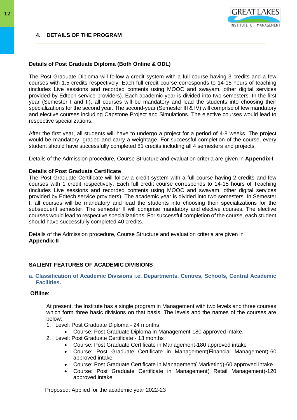# **4. DETAILS OF THE PROGRAM**



### **Details of Post Graduate Diploma (Both Online & ODL)**

The Post Graduate Diploma will follow a credit system with a full course having 3 credits and a few courses with 1.5 credits respectively. Each full credit course corresponds to 14-15 hours of teaching (includes Live sessions and recorded contents using MOOC and swayam, other digital services provided by Edtech service providers). Each academic year is divided into two semesters. In the first year (Semester I and II), all courses will be mandatory and lead the students into choosing their specializations for the second year. The second-year (Semester III & IV) will comprise of few mandatory and elective courses including Capstone Project and Simulations. The elective courses would lead to respective specializations.

After the first year, all students will have to undergo a project for a period of 4-8 weeks. The project would be mandatory, graded and carry a weightage. For successful completion of the course, every student should have successfully completed 81 credits including all 4 semesters and projects.

Details of the Admission procedure, Course Structure and evaluation criteria are given in **Appendix-I**

#### **Details of Post Graduate Certificate**

The Post Graduate Certificate will follow a credit system with a full course having 2 credits and few courses with 1 credit respectively. Each full credit course corresponds to 14-15 hours of Teaching (includes Live sessions and recorded contents using MOOC and swayam, other digital services provided by Edtech service providers). The academic year is divided into two semesters. In Semester I, all courses will be mandatory and lead the students into choosing their specializations for the subsequent semester. The semester II will comprise mandatory and elective courses. The elective courses would lead to respective specializations. For successful completion of the course, each student should have successfully completed 40 credits.

Details of the Admission procedure, Course Structure and evaluation criteria are given in **Appendix-II**

# **SALIENT FEATURES OF ACADEMIC DIVISIONS**

#### **a. Classification of Academic Divisions i.e. Departments, Centres, Schools, Central Academic Facilities.**

#### **Offline**:

At present, the Institute has a single program in Management with two levels and three courses which form three basic divisions on that basis. The levels and the names of the courses are below:

- 1. Level: Post Graduate Diploma 24 months
	- Course: Post Graduate Diploma in Management-180 approved intake.
- 2. Level: Post Graduate Certificate 13 months
	- Course: Post Graduate Certificate in Management-180 approved intake
	- Course: Post Graduate Certificate in Management(Financial Management)-60 approved intake
	- Course: Post Graduate Certificate in Management( Marketing)-60 approved intake
	- Course: Post Graduate Certificate in Management( Retail Management)-120 approved intake

Proposed: Applied for the academic year 2022-23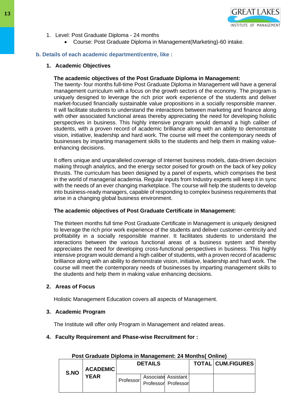

- 1. Level: Post Graduate Diploma 24 months
	- Course: Post Graduate Diploma in Management(Marketing)-60 intake.

# **b. Details of each academic department/centre, like :**

### **1. Academic Objectives**

#### **The academic objectives of the Post Graduate Diploma in Management:**

The twenty- four months full-time Post Graduate Diploma in Management will have a general management curriculum with a focus on the growth sectors of the economy. The program is uniquely designed to leverage the rich prior work experience of the students and deliver market-focused financially sustainable value propositions in a socially responsible manner. It will facilitate students to understand the interactions between marketing and finance along with other associated functional areas thereby appreciating the need for developing holistic perspectives in business. This highly intensive program would demand a high caliber of students, with a proven record of academic brilliance along with an ability to demonstrate vision, initiative, leadership and hard work. The course will meet the contemporary needs of businesses by imparting management skills to the students and help them in making valueenhancing decisions.

It offers unique and unparalleled coverage of Internet business models, data-driven decision making through analytics, and the energy sector poised for growth on the back of key policy thrusts. The curriculum has been designed by a panel of experts, which comprises the best in the world of managerial academia. Regular inputs from Industry experts will keep it in sync with the needs of an ever changing marketplace. The course will help the students to develop into business-ready managers, capable of responding to complex business requirements that arise in a changing global business environment.

#### **The academic objectives of Post Graduate Certificate in Management:**

The thirteen months full time Post Graduate Certificate in Management is uniquely designed to leverage the rich prior work experience of the students and deliver customer-centricity and profitability in a socially responsible manner. It facilitates students to understand the interactions between the various functional areas of a business system and thereby appreciates the need for developing cross-functional perspectives in business. This highly intensive program would demand a high caliber of students, with a proven record of academic brilliance along with an ability to demonstrate vision, initiative, leadership and hard work. The course will meet the contemporary needs of businesses by imparting management skills to the students and help them in making value enhancing decisions.

#### **2. Areas of Focus**

Holistic Management Education covers all aspects of Management.

#### **3. Academic Program**

The Institute will offer only Program in Management and related areas.

#### **4. Faculty Requirement and Phase-wise Recruitment for :**

| S.NO | <b>ACADEMIC</b><br><b>YEAR</b> | <b>DETAILS</b>   |                     |                     | <b>TOTAL CUM.FIGURES</b> |
|------|--------------------------------|------------------|---------------------|---------------------|--------------------------|
|      |                                | <b>Professor</b> | Professor Professor | Associate Assistant |                          |

#### **Post Graduate Diploma in Management: 24 Months( Online)**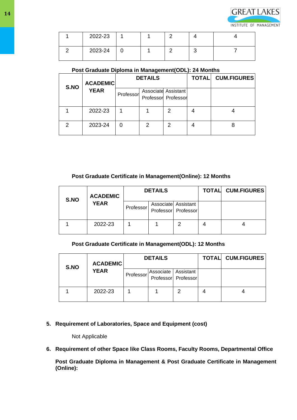

| 2022-23 |  |  |  |
|---------|--|--|--|
| 2023-24 |  |  |  |

# **Post Graduate Diploma in Management(ODL): 24 Months**

|      | <b>ACADEMIC</b> | <b>DETAILS</b> |   |                                            | <b>TOTALI</b> | <b>CUM.FIGURES</b> |
|------|-----------------|----------------|---|--------------------------------------------|---------------|--------------------|
| S.NO | <b>YEAR</b>     | Professor      |   | Associate Assistant<br>Professor Professor |               |                    |
|      | 2022-23         |                |   | 2                                          |               |                    |
|      | 2023-24         |                | 2 | 2                                          |               |                    |

# **Post Graduate Certificate in Management(Online): 12 Months**

| S.NO | <b>ACADEMIC</b> | <b>DETAILS</b> |  |                                            | <b>TOTAL CUM.FIGURES</b> |
|------|-----------------|----------------|--|--------------------------------------------|--------------------------|
|      | <b>YEAR</b>     | Professor      |  | Associate Assistant<br>Professor Professor |                          |
|      | 2022-23         |                |  | 2                                          |                          |

# **Post Graduate Certificate in Management(ODL): 12 Months**

| S.NO | <b>ACADEMIC</b> | <b>DETAILS</b> |                       |                     | <b>TOTAL</b> | <b>CUM.FIGURES</b> |
|------|-----------------|----------------|-----------------------|---------------------|--------------|--------------------|
|      | <b>YEAR</b>     | Professor      | Associate   Assistant | Professor Professor |              |                    |
|      | 2022-23         |                |                       | າ                   | 4            |                    |

# **5. Requirement of Laboratories, Space and Equipment (cost)**

Not Applicable

**6. Requirement of other Space like Class Rooms, Faculty Rooms, Departmental Office**

**Post Graduate Diploma in Management & Post Graduate Certificate in Management (Online):**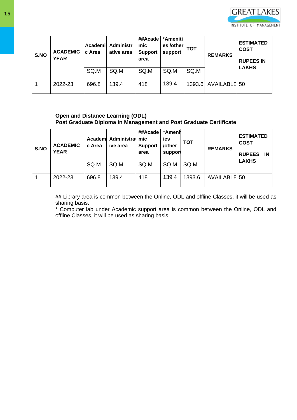

| S.NO | <b>ACADEMIC</b><br><b>YEAR</b> | Academi<br><b>c</b> Area | Administr<br>ative area | ##Acade<br>mic<br><b>Support</b><br>area | *Ameniti<br>es /other<br>support | <b>TOT</b> | <b>REMARKS</b>      | <b>ESTIMATED</b><br><b>COST</b><br><b>RUPEES IN</b> |
|------|--------------------------------|--------------------------|-------------------------|------------------------------------------|----------------------------------|------------|---------------------|-----------------------------------------------------|
|      |                                | SQ.M                     | SQ.M                    | SQ.M                                     | SQ.M                             | SQ.M       |                     | <b>LAKHS</b>                                        |
|      | 2022-23                        | 696.8                    | 139.4                   | 418                                      | 139.4                            |            | 1393.6 AVAILABLE 50 |                                                     |

# **Open and Distance Learning (ODL) Post Graduate Diploma in Management and Post Graduate Certificate**

| S.NO | <b>ACADEMIC</b><br><b>YEAR</b> | c Area | Academ Administral mic<br>ive area | ##Acade<br><b>Support</b><br>area | *Amenil<br>ies<br>/other<br>support | <b>TOT</b> | <b>REMARKS</b> | <b>ESTIMATED</b><br><b>COST</b><br><b>RUPEES</b><br>IN |
|------|--------------------------------|--------|------------------------------------|-----------------------------------|-------------------------------------|------------|----------------|--------------------------------------------------------|
|      |                                | SQ.M   | SQ.M                               | SQ.M                              | SQ.M                                | SQ.M       |                | <b>LAKHS</b>                                           |
|      | 2022-23                        | 696.8  | 139.4                              | 418                               | 139.4                               | 1393.6     | AVAILABLE 50   |                                                        |

## Library area is common between the Online, ODL and offline Classes, it will be used as sharing basis.

\* Computer lab under Academic support area is common between the Online, ODL and offline Classes, it will be used as sharing basis.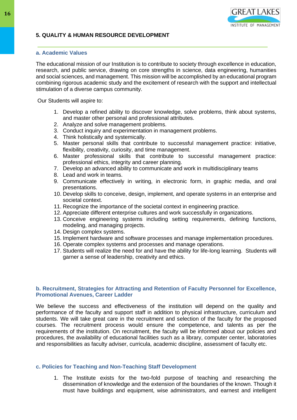

# **a. Academic Values**

The educational mission of our Institution is to contribute to society through excellence in education, research, and public service, drawing on core strengths in science, data engineering, humanities and social sciences, and management. This mission will be accomplished by an educational program combining rigorous academic study and the excitement of research with the support and intellectual stimulation of a diverse campus community.

Our Students will aspire to:

1. Develop a refined ability to discover knowledge, solve problems, think about systems, and master other personal and professional attributes.

**GREAT LAKES** 

INSTITUTE OF MANAGEMENT

- 2. Analyze and solve management problems.
- 3. Conduct inquiry and experimentation in management problems.
- 4. Think holistically and systemically.
- 5. Master personal skills that contribute to successful management practice: initiative, flexibility, creativity, curiosity, and time management.
- 6. Master professional skills that contribute to successful management practice: professional ethics, integrity and career planning.
- 7. Develop an advanced ability to communicate and work in multidisciplinary teams
- 8. Lead and work in teams.
- 9. Communicate effectively in writing, in electronic form, in graphic media, and oral presentations.
- 10. Develop skills to conceive, design, implement, and operate systems in an enterprise and societal context.
- 11. Recognize the importance of the societal context in engineering practice.
- 12. Appreciate different enterprise cultures and work successfully in organizations.
- 13. Conceive engineering systems including setting requirements, defining functions, modeling, and managing projects.
- 14. Design complex systems.
- 15. Implement hardware and software processes and manage implementation procedures.
- 16. Operate complex systems and processes and manage operations.
- 17. Students will realize the need for and have the ability for life-long learning. Students will garner a sense of leadership, creativity and ethics.

#### **b. Recruitment, Strategies for Attracting and Retention of Faculty Personnel for Excellence, Promotional Avenues, Career Ladder**

We believe the success and effectiveness of the institution will depend on the quality and performance of the faculty and support staff in addition to physical infrastructure, curriculum and students. We will take great care in the recruitment and selection of the faculty for the proposed courses. The recruitment process would ensure the competence, and talents as per the requirements of the institution. On recruitment, the faculty will be informed about our policies and procedures, the availability of educational facilities such as a library, computer center, laboratories and responsibilities as faculty adviser, curricula, academic discipline, assessment of faculty etc.

#### **c. Policies for Teaching and Non-Teaching Staff Development**

1. The Institute exists for the two-fold purpose of teaching and researching the dissemination of knowledge and the extension of the boundaries of the known. Though it must have buildings and equipment, wise administrators, and earnest and intelligent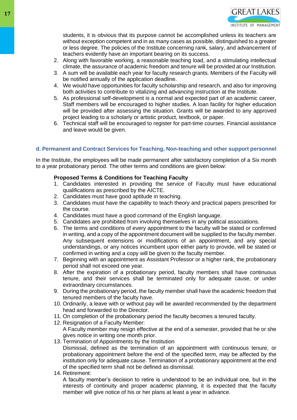students, it is obvious that its purpose cannot be accomplished unless its teachers are without exception competent and in as many cases as possible, distinguished to a greater or less degree. The policies of the Institute concerning rank, salary, and advancement of teachers evidently have an important bearing on its success.

- 2. Along with favorable working, a reasonable teaching load, and a stimulating intellectual climate, the assurance of academic freedom and tenure will be provided at our Institution.
- 3. A sum will be available each year for faculty research grants. Members of the Faculty will be notified annually of the application deadline.
- 4. We would have opportunities for faculty scholarship and research, and also for improving both activities to contribute to vitalizing and advancing instruction at the Institute.
- 5. As professional self-development is a normal and expected part of an academic career, Staff members will be encouraged to higher studies. A loan facility for higher education will be provided after assessing the situation. Grants will be awarded to any approved project leading to a scholarly or artistic product, textbook, or paper.
- 6. Technical staff will be encouraged to register for part-time courses. Financial assistance and leave would be given.

# **d. Permanent and Contract Services for Teaching, Non-teaching and other support personnel**

In the Institute, the employees will be made permanent after satisfactory completion of a Six month to a year probationary period. The other terms and conditions are given below:

# **Proposed Terms & Conditions for Teaching Faculty**

- 1. Candidates interested in providing the service of Faculty must have educational qualifications as prescribed by the AICTE.
- 2. Candidates must have good aptitude in teaching.
- 3. Candidates must have the capability to teach theory and practical papers prescribed for the course.
- 4. Candidates must have a good command of the English language.
- 5. Candidates are prohibited from involving themselves in any political associations.
- 6. The terms and conditions of every appointment to the faculty will be stated or confirmed in writing, and a copy of the appointment document will be supplied to the faculty member. Any subsequent extensions or modifications of an appointment, and any special understandings, or any notices incumbent upon either party to provide, will be stated or confirmed in writing and a copy will be given to the faculty member.
- 7. Beginning with an appointment as Assistant Professor or a higher rank, the probationary period shall not exceed one year.
- 8. After the expiration of a probationary period, faculty members shall have continuous tenure, and their services shall be terminated only for adequate cause, or under extraordinary circumstances.
- 9. During the probationary period, the faculty member shall have the academic freedom that tenured members of the faculty have.
- 10. Ordinarily, a leave with or without pay will be awarded recommended by the department head and forwarded to the Director.
- 11. On completion of the probationary period the faculty becomes a tenured faculty.
- 12. Resignation of a Faculty Member: A Faculty member may resign effective at the end of a semester, provided that he or she gives notice in writing one month prior.
- 13. Termination of Appointments by the Institution Dismissal, defined as the termination of an appointment with continuous tenure, or probationary appointment before the end of the specified term, may be affected by the institution only for adequate cause. Termination of a probationary appointment at the end of the specified term shall not be defined as dismissal.
- 14. Retirement:

A faculty member's decision to retire is understood to be an individual one, but in the interests of continuity and proper academic planning, it is expected that the faculty member will give notice of his or her plans at least a year in advance.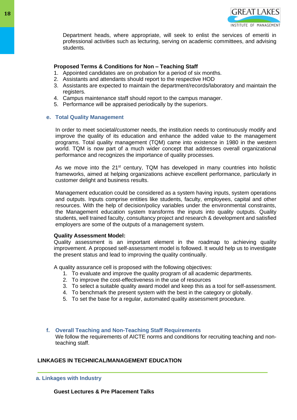

Department heads, where appropriate, will seek to enlist the services of emeriti in professional activities such as lecturing, serving on academic committees, and advising students.

# **Proposed Terms & Conditions for Non – Teaching Staff**

- 1. Appointed candidates are on probation for a period of six months.
- 2. Assistants and attendants should report to the respective HOD
- 3. Assistants are expected to maintain the department/records/laboratory and maintain the registers.
- 4. Campus maintenance staff should report to the campus manager.
- 5. Performance will be appraised periodically by the superiors.

# **e. Total Quality Management**

In order to meet societal/customer needs, the institution needs to continuously modify and improve the quality of its education and enhance the added value to the management programs. Total quality management (TQM) came into existence in 1980 in the western world. TQM is now part of a much wider concept that addresses overall organizational performance and recognizes the importance of quality processes.

As we move into the  $21^{st}$  century, TQM has developed in many countries into holistic frameworks, aimed at helping organizations achieve excellent performance, particularly in customer delight and business results.

Management education could be considered as a system having inputs, system operations and outputs. Inputs comprise entities like students, faculty, employees, capital and other resources. With the help of decision/policy variables under the environmental constraints, the Management education system transforms the inputs into quality outputs. Quality students, well trained faculty, consultancy project and research & development and satisfied employers are some of the outputs of a management system.

#### **Quality Assessment Model:**

Quality assessment is an important element in the roadmap to achieving quality improvement. A proposed self-assessment model is followed. It would help us to investigate the present status and lead to improving the quality continually.

A quality assurance cell is proposed with the following objectives:

- 1. To evaluate and improve the quality program of all academic departments.
- 2. To improve the cost-effectiveness in the use of resources
- 3. To select a suitable quality award model and keep this as a tool for self-assessment.
- 4. To benchmark the present system with the best in the category or globally.
- 5. To set the base for a regular, automated quality assessment procedure.
- **f. Overall Teaching and Non-Teaching Staff Requirements** We follow the requirements of AICTE norms and conditions for recruiting teaching and nonteaching staff.

# **LINKAGES IN TECHNICAL/MANAGEMENT EDUCATION**

**a. Linkages with Industry**

**Guest Lectures & Pre Placement Talks**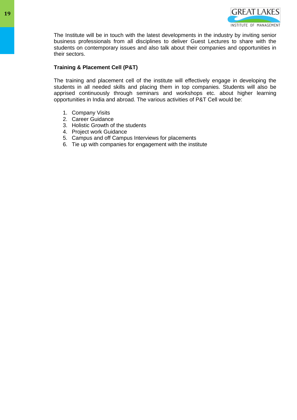

The Institute will be in touch with the latest developments in the industry by inviting senior business professionals from all disciplines to deliver Guest Lectures to share with the students on contemporary issues and also talk about their companies and opportunities in their sectors.

# **Training & Placement Cell (P&T)**

The training and placement cell of the institute will effectively engage in developing the students in all needed skills and placing them in top companies. Students will also be apprised continuously through seminars and workshops etc. about higher learning opportunities in India and abroad. The various activities of P&T Cell would be:

- 1. Company Visits
- 2. Career Guidance
- 3. Holistic Growth of the students
- 4. Project work Guidance
- 5. Campus and off Campus Interviews for placements
- 6. Tie up with companies for engagement with the institute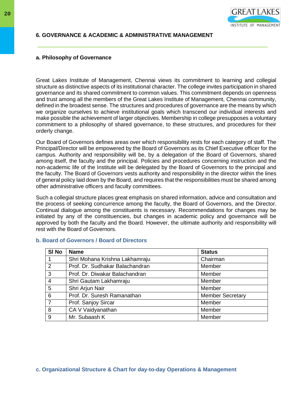

### **6. GOVERNANCE & ACADEMIC & ADMINISTRATIVE MANAGEMENT**

#### **a. Philosophy of Governance**

Great Lakes Institute of Management, Chennai views its commitment to learning and collegial structure as distinctive aspects of its institutional character. The college invites participation in shared governance and its shared commitment to common values. This commitment depends on openness and trust among all the members of the Great Lakes Institute of Management, Chennai community, defined in the broadest sense. The structures and procedures of governance are the means by which we organize ourselves to achieve institutional goals which transcend our individual interests and make possible the achievement of larger objectives. Membership in college presupposes a voluntary commitment to a philosophy of shared governance, to these structures, and procedures for their orderly change.

Our Board of Governors defines areas over which responsibility rests for each category of staff. The Principal/Director will be empowered by the Board of Governors as its Chief Executive officer for the campus. Authority and responsibility will be, by a delegation of the Board of Governors, shared among itself, the faculty and the principal. Policies and procedures concerning instruction and the non-academic life of the Institute will be delegated by the Board of Governors to the principal and the faculty. The Board of Governors vests authority and responsibility in the director within the lines of general policy laid down by the Board, and requires that the responsibilities must be shared among other administrative officers and faculty committees.

Such a collegial structure places great emphasis on shared information, advice and consultation and the process of seeking concurrence among the faculty, the Board of Governors, and the Director. Continual dialogue among the constituents is necessary. Recommendations for changes may be initiated by any of the constituencies, but changes in academic policy and governance will be approved by both the faculty and the Board. However, the ultimate authority and responsibility will rest with the Board of Governors.

| SI No          | <b>Name</b>                     | <b>Status</b>           |
|----------------|---------------------------------|-------------------------|
|                | Shri Mohana Krishna Lakhamraju  | Chairman                |
| 2              | Prof. Dr. Sudhakar Balachandran | Member                  |
| 3              | Prof. Dr. Diwakar Balachandran  | Member                  |
| $\overline{4}$ | Shri Gautam Lakhamraju          | Member                  |
| 5              | Shri Arjun Nair                 | Member                  |
| 6              | Prof. Dr. Suresh Ramanathan     | <b>Member Secretary</b> |
| $\overline{7}$ | Prof. Sanjoy Sircar             | Member                  |
| 8              | CA V Vaidyanathan               | Member                  |
| 9              | Mr. Subaash K                   | Member                  |

#### **b. Board of Governors / Board of Directors**

#### **c. Organizational Structure & Chart for day-to-day Operations & Management**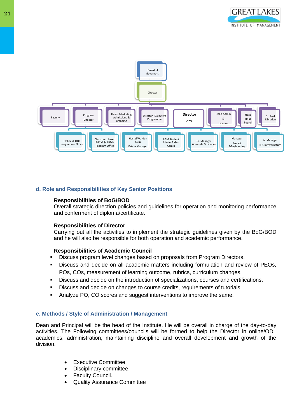



# **d. Role and Responsibilities of Key Senior Positions**

#### **Responsibilities of BoG/BOD**

Overall strategic direction policies and guidelines for operation and monitoring performance and conferment of diploma/certificate.

#### **Responsibilities of Director**

Carrying out all the activities to implement the strategic guidelines given by the BoG/BOD and he will also be responsible for both operation and academic performance.

#### **Responsibilities of Academic Council**

- Discuss program level changes based on proposals from Program Directors.
- Discuss and decide on all academic matters including formulation and review of PEOs, POs, COs, measurement of learning outcome, rubrics, curriculum changes.
- Discuss and decide on the introduction of specializations, courses and certifications.
- Discuss and decide on changes to course credits, requirements of tutorials.
- Analyze PO, CO scores and suggest interventions to improve the same.

#### **e. Methods / Style of Administration / Management**

Dean and Principal will be the head of the Institute. He will be overall in charge of the day-to-day activities. The Following committees/councils will be formed to help the Director in online/ODL academics, administration, maintaining discipline and overall development and growth of the division.

- Executive Committee.
- Disciplinary committee.
- **Faculty Council.**
- Quality Assurance Committee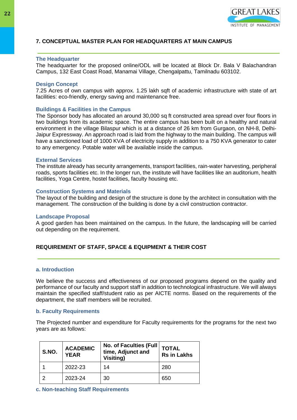

# **7. CONCEPTUAL MASTER PLAN FOR HEADQUARTERS AT MAIN CAMPUS**

#### **The Headquarter**

The headquarter for the proposed online/ODL will be located at Block Dr. Bala V Balachandran Campus, 132 East Coast Road, Manamai Village, Chengalpattu, Tamilnadu 603102.

#### **Design Concept**

7.25 Acres of own campus with approx. 1.25 lakh sqft of academic infrastructure with state of art facilities: eco-friendly, energy saving and maintenance free.

#### **Buildings & Facilities in the Campus**

The Sponsor body has allocated an around 30,000 sq ft constructed area spread over four floors in two buildings from its academic space. The entire campus has been built on a healthy and natural environment in the village Bilaspur which is at a distance of 26 km from Gurgaon, on NH-8, Delhi-Jaipur Expressway. An approach road is laid from the highway to the main building. The campus will have a sanctioned load of 1000 KVA of electricity supply in addition to a 750 KVA generator to cater to any emergency. Potable water will be available inside the campus.

#### **External Services**

The institute already has security arrangements, transport facilities, rain-water harvesting, peripheral roads, sports facilities etc. In the longer run, the institute will have facilities like an auditorium, health facilities, Yoga Centre, hostel facilities, faculty housing etc.

#### **Construction Systems and Materials**

The layout of the building and design of the structure is done by the architect in consultation with the management. The construction of the building is done by a civil construction contractor.

#### **Landscape Proposal**

A good garden has been maintained on the campus. In the future, the landscaping will be carried out depending on the requirement.

#### **REQUIREMENT OF STAFF, SPACE & EQUIPMENT & THEIR COST**

#### **a. Introduction**

We believe the success and effectiveness of our proposed programs depend on the quality and performance of our faculty and support staff in addition to technological infrastructure. We will always maintain the specified staff/student ratio as per AICTE norms. Based on the requirements of the department, the staff members will be recruited.

#### **b. Faculty Requirements**

The Projected number and expenditure for Faculty requirements for the programs for the next two years are as follows:

| S.NO. | <b>ACADEMIC</b><br><b>YEAR</b> | <b>No. of Faculties (Full</b><br>time, Adjunct and<br>Visiting) | <b>TOTAL</b><br><b>Rs in Lakhs</b> |
|-------|--------------------------------|-----------------------------------------------------------------|------------------------------------|
|       | 2022-23                        | 14                                                              | 280                                |
| າ     | 2023-24                        | 30                                                              | 650                                |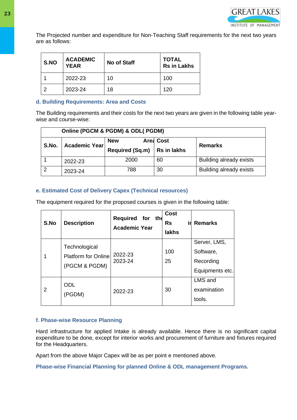

The Projected number and expenditure for Non-Teaching Staff requirements for the next two years are as follows:

| S.NO | <b>ACADEMIC</b><br><b>YEAR</b> | <b>No of Staff</b> | <b>TOTAL</b><br><b>Rs in Lakhs</b> |
|------|--------------------------------|--------------------|------------------------------------|
|      | 2022-23                        | 10                 | 100                                |
|      | 2023-24                        | 18                 | 120                                |

# **d. Building Requirements: Area and Costs**

The Building requirements and their costs for the next two years are given in the following table yearwise and course-wise:

|       | Online (PGCM & PGDM) & ODL(PGDM) |                        |                    |                         |  |
|-------|----------------------------------|------------------------|--------------------|-------------------------|--|
| S.No. | Academic Year                    | <b>New</b>             | <b>Area Cost</b>   | <b>Remarks</b>          |  |
|       |                                  | <b>Required (Sq.m)</b> | <b>Rs in lakhs</b> |                         |  |
|       | 2022-23                          | 2000                   | 60                 | Building already exists |  |
| າ     | 2023-24                          | 788                    | 30                 | Building already exists |  |

# **e. Estimated Cost of Delivery Capex (Technical resources)**

The equipment required for the proposed courses is given in the following table:

| S.No | <b>Description</b>                                            | Required for the<br><b>Academic Year</b> | <b>Cost</b><br>irl.<br><b>Rs</b><br><b>lakhs</b> | <b>Remarks</b>                                            |
|------|---------------------------------------------------------------|------------------------------------------|--------------------------------------------------|-----------------------------------------------------------|
|      | Technological<br><b>Platform for Onlinel</b><br>(PGCM & PGDM) | 2022-23<br>2023-24                       | 100<br>25                                        | Server, LMS,<br>Software,<br>Recording<br>Equipments etc. |
| 2    | <b>ODL</b><br>(PGDM)                                          | 2022-23                                  | 30                                               | LMS and<br>examination<br>tools.                          |

# **f. Phase-wise Resource Planning**

Hard infrastructure for applied Intake is already available. Hence there is no significant capital expenditure to be done, except for interior works and procurement of furniture and fixtures required for the Headquarters.

Apart from the above Major Capex will be as per point e mentioned above.

**Phase-wise Financial Planning for planned Online & ODL management Programs.**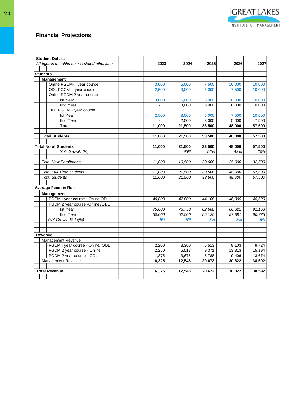# **Financial Projections**:

|                 | <b>Student Details</b> |                                              |        |        |         |        |        |
|-----------------|------------------------|----------------------------------------------|--------|--------|---------|--------|--------|
|                 |                        | All figures in Lakhs unless stated otherwise | 2023   | 2024   | 2025    | 2026   | 2027   |
|                 |                        |                                              |        |        |         |        |        |
| <b>Students</b> |                        |                                              |        |        |         |        |        |
|                 | <b>Management</b>      |                                              |        |        |         |        |        |
|                 |                        | Online PGCM- I year course                   | 3,000  | 5,000  | 7,500   | 10,000 | 10,000 |
|                 |                        | ODL PGCM- I year course                      | 2,500  | 3,000  | 5,000   | 7,500  | 10,000 |
|                 |                        | Online PGDM 2 year course                    |        |        |         |        |        |
|                 |                        | Ist Year                                     | 3,000  | 5,000  | 8,000   | 10,000 | 10,000 |
|                 |                        | <b>IInd Year</b>                             |        | 3,000  | 5,000   | 8,000  | 10,000 |
|                 |                        | ODL PGDM 2 year course                       |        |        |         |        |        |
|                 |                        | Ist Year                                     | 2,500  | 3,000  | 5,000   | 7,500  | 10,000 |
|                 |                        | <b>IInd Year</b>                             |        | 2,500  | 3,000   | 5,000  | 7,500  |
|                 |                        | Total                                        | 11,000 | 21,500 | 33,500  | 48,000 | 57,500 |
|                 |                        | <b>Total Students</b>                        | 11,000 | 21,500 | 33,500  | 48,000 | 57,500 |
|                 |                        |                                              |        |        |         |        |        |
|                 |                        | <b>Total No of Students</b>                  | 11,000 | 21,500 | 33,500  | 48,000 | 57,500 |
|                 |                        | YoY Growth (%)                               |        | 95%    | 56%     | 43%    | 20%    |
|                 |                        |                                              |        |        |         |        |        |
|                 |                        | <b>Total New Enrollments</b>                 | 11,000 | 10,500 | 23,000  | 25,000 | 32,500 |
|                 |                        |                                              |        |        |         |        |        |
|                 |                        | <b>Total Full Time students</b>              | 11,000 | 21,500 | 33,500  | 48,000 | 57,500 |
|                 | <b>Total Students</b>  |                                              | 11,000 | 21,500 | 33,500  | 48,000 | 57,500 |
|                 |                        |                                              |        |        |         |        |        |
|                 |                        | Average Fees (in Rs.)                        |        |        |         |        |        |
|                 | <b>Management</b>      |                                              |        |        |         |        |        |
|                 |                        | PGCM I year course - Online/ODL              | 40,000 | 42,000 | 44,100  | 46,305 | 48,620 |
|                 |                        | PGDM 2 year course -Online /ODL              |        |        |         |        |        |
|                 |                        | <b>Ist Year</b>                              | 75,000 | 78,750 | 82,688  | 86,822 | 91,163 |
|                 |                        | <b>IInd Year</b>                             | 50.000 | 52.500 | 55, 125 | 57.881 | 60.775 |
|                 |                        | YoY Growth Rate(%)                           | 5%     | 5%     | 5%      | 5%     | 5%     |
|                 |                        |                                              |        |        |         |        |        |
|                 | Revenue                |                                              |        |        |         |        |        |
|                 |                        | Management Revenue                           |        |        |         |        |        |
|                 |                        | PGCM I year course - Online/ ODL             | 2,200  | 3,360  | 5,513   | 8,103  | 9,724  |
|                 |                        | PGDM 2 year course - Online                  | 2,250  | 5,513  | 9,371   | 13,313 | 15,194 |
|                 |                        | PGDM 2 year course - ODL                     | 1,875  | 3,675  | 5,788   | 9,406  | 13,674 |
|                 |                        | Management Revenue                           | 6,325  | 12,548 | 20,672  | 30,822 | 38,592 |
|                 |                        |                                              |        |        |         |        |        |
|                 | <b>Total Revenue</b>   |                                              | 6,325  | 12,548 | 20,672  | 30,822 | 38,592 |
|                 |                        |                                              |        |        |         |        |        |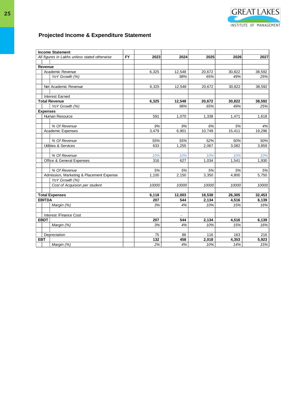

# **Projected Income & Expenditure Statement**

|                 | <b>Income Statement</b>                      |           |       |        |        |        |        |
|-----------------|----------------------------------------------|-----------|-------|--------|--------|--------|--------|
|                 | All figures in Lakhs unless stated otherwise | <b>FY</b> | 2023  | 2024   | 2025   | 2026   | 2027   |
|                 |                                              |           |       |        |        |        |        |
| Revenue         |                                              |           |       |        |        |        |        |
|                 | Academic Revenue                             |           | 6,325 | 12,548 | 20,672 | 30,822 | 38,592 |
|                 | YoY Growth (%)                               |           |       | 98%    | 65%    | 49%    | 25%    |
|                 |                                              |           |       |        |        |        |        |
|                 | Net Academic Revenue                         |           | 6,325 | 12,548 | 20,672 | 30,822 | 38,592 |
|                 |                                              |           |       |        |        |        |        |
|                 | <b>Interest Earned</b>                       |           |       |        |        |        |        |
|                 | <b>Total Revenue</b>                         |           | 6,325 | 12,548 | 20,672 | 30,822 | 38,592 |
|                 | YoY Growth (%)                               |           |       | 98%    | 65%    | 49%    | 25%    |
| <b>Expenses</b> |                                              |           |       |        |        |        |        |
|                 | Human Resource                               |           | 591   | 1,070  | 1,338  | 1,471  | 1,618  |
|                 | % Of Revenue                                 |           | 9%    | 9%     | 6%     | 5%     | 4%     |
|                 | <b>Academic Expenses</b>                     |           |       | 6,901  | 10,749 | 15,411 | 19,296 |
|                 |                                              |           | 3,479 |        |        |        |        |
|                 | % Of Revenue                                 |           | 55%   | 55%    | 52%    | 50%    | 50%    |
|                 | Utilities & Services                         |           | 633   | 1,255  | 2,067  | 3,082  | 3,859  |
|                 |                                              |           |       |        |        |        |        |
|                 | % Of Revenue                                 |           | 10%   | 10%    | 10%    | 10%    | 10%    |
|                 | Office & General Expenses                    |           | 316   | 627    | 1,034  | 1,541  | 1,930  |
|                 |                                              |           |       |        |        |        |        |
|                 | % Of Revenue                                 |           | 5%    | 5%     | 5%     | 5%     | 5%     |
|                 | Admission, Marketing & Placement Expense     |           | 1,100 | 2.150  | 3,350  | 4,800  | 5,750  |
|                 | YoY Growth (%)                               |           |       |        |        |        |        |
|                 | Cost of Acquision per student                |           | 10000 | 10000  | 10000  | 10000  | 10000  |
|                 |                                              |           |       |        |        |        |        |
|                 | <b>Total Expenses</b>                        |           | 6,118 | 12,003 | 18,538 | 26,305 | 32,453 |
| <b>EBITDA</b>   |                                              |           | 207   | 544    | 2,134  | 4,516  | 6,139  |
|                 | Margin (%)                                   |           | 3%    | 4%     | 10%    | 15%    | 16%    |
|                 |                                              |           |       |        |        |        |        |
|                 | Interest /Finance Cost                       |           |       |        |        |        |        |
| <b>EBDT</b>     |                                              |           | 207   | 544    | 2,134  | 4,516  | 6,139  |
|                 | Margin (%)                                   |           | 3%    | 4%     | 10%    | 15%    | 16%    |
|                 |                                              |           |       |        |        |        |        |
|                 | Depreciation                                 |           | 75    | 86     | 116    | 163    | 216    |
| <b>EBT</b>      |                                              |           | 132   | 458    | 2,018  | 4,353  | 5,923  |
|                 | Margin (%)                                   |           | 2%    | 4%     | 10%    | 14%    | 15%    |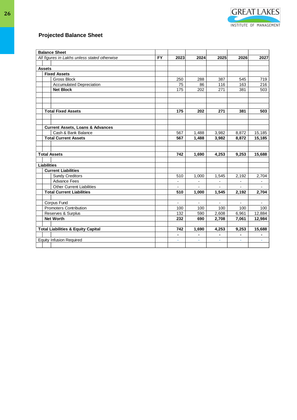| <b>Balance Sheet</b>                         |                                               |  |                          |                |                          |                |                |
|----------------------------------------------|-----------------------------------------------|--|--------------------------|----------------|--------------------------|----------------|----------------|
| All figures in Lakhs unless stated otherwise |                                               |  | 2023                     | 2024           | 2025                     | 2026           | 2027           |
|                                              |                                               |  |                          |                |                          |                |                |
| <b>Assets</b>                                |                                               |  |                          |                |                          |                |                |
|                                              | <b>Fixed Assets</b>                           |  |                          |                |                          |                |                |
|                                              | <b>Gross Block</b>                            |  | 250                      | 288            | 387                      | 545            | 719            |
|                                              | <b>Accumulated Depreciation</b>               |  | 75                       | 86             | 116                      | 163            | 216            |
|                                              | <b>Net Block</b>                              |  | 175                      | 202            | 271                      | 381            | 503            |
|                                              |                                               |  |                          |                |                          |                |                |
|                                              |                                               |  |                          |                |                          |                |                |
|                                              |                                               |  |                          |                |                          |                |                |
|                                              | <b>Total Fixed Assets</b>                     |  | 175                      | 202            | 271                      | 381            | 503            |
|                                              |                                               |  |                          |                |                          |                |                |
|                                              |                                               |  |                          |                |                          |                |                |
|                                              | <b>Current Assets, Loans &amp; Advances</b>   |  |                          |                |                          |                |                |
|                                              | Cash & Bank Balance                           |  | 567                      | 1,488          | 3,982                    | 8,872          | 15,185         |
|                                              | <b>Total Current Assets</b>                   |  | 567                      | 1,488          | 3,982                    | 8,872          | 15,185         |
|                                              |                                               |  |                          |                |                          |                |                |
|                                              |                                               |  |                          |                |                          |                |                |
|                                              | <b>Total Assets</b>                           |  | 742                      | 1,690          | 4,253                    | 9,253          | 15,688         |
|                                              |                                               |  |                          |                |                          |                |                |
| <b>Liabilities</b>                           |                                               |  |                          |                |                          |                |                |
|                                              | <b>Current Liabilities</b>                    |  |                          |                |                          |                |                |
|                                              | <b>Sundy Creditors</b>                        |  | 510                      | 1,000          | 1,545                    | 2,192          | 2,704          |
|                                              | <b>Advance Fees</b>                           |  | $\overline{a}$           | $\overline{a}$ | $\overline{\phantom{a}}$ | $\blacksquare$ | $\blacksquare$ |
|                                              | <b>Other Current Liabilities</b>              |  | $\overline{\phantom{0}}$ | $\overline{a}$ | $\blacksquare$           |                | $\overline{a}$ |
|                                              | <b>Total Current Liabilities</b>              |  | 510                      | 1,000          | 1,545                    | 2,192          | 2,704          |
|                                              |                                               |  |                          |                |                          |                |                |
|                                              | Corpus Fund                                   |  | $\blacksquare$           | $\blacksquare$ | $\blacksquare$           |                | $\blacksquare$ |
|                                              | <b>Promoters Contribution</b>                 |  | 100                      | 100            | 100                      | 100            | 100            |
|                                              | Reserves & Surplus                            |  | 132                      | 590            | 2,608                    | 6,961          | 12,884         |
|                                              | <b>Net Worth</b>                              |  | 232                      | 690            | 2,708                    | 7,061          | 12,984         |
|                                              |                                               |  |                          |                |                          |                |                |
|                                              | <b>Total Liabilities &amp; Equity Capital</b> |  | 742<br>$\blacksquare$    | 1,690          | 4,253                    | 9,253          | 15,688         |
|                                              |                                               |  |                          | ٠              | Ξ.                       | L,             | $\blacksquare$ |
|                                              | <b>Equity Infusion Required</b>               |  | ÷,                       | ÷,             | ÷,                       |                | ÷.             |
|                                              |                                               |  |                          |                |                          |                |                |

**GREAT LAKES** 

INSTITUTE OF MANAGEMENT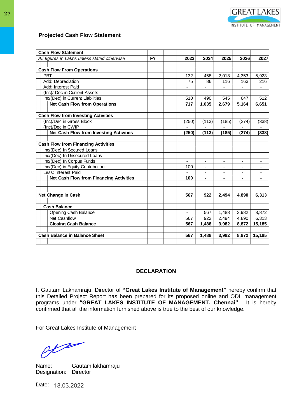| <b>Cash Flow Statement</b>                     |           |       |                          |                          |                          |                          |
|------------------------------------------------|-----------|-------|--------------------------|--------------------------|--------------------------|--------------------------|
| All figures in Lakhs unless stated otherwise   | <b>FY</b> | 2023  | 2024                     | 2025                     | 2026                     | 2027                     |
|                                                |           |       |                          |                          |                          |                          |
| <b>Cash Flow From Operations</b>               |           |       |                          |                          |                          |                          |
| <b>PBT</b>                                     |           | 132   | 458                      | 2.018                    | 4.353                    | 5,923                    |
| Add: Depreciation                              |           | 75    | 86                       | 116                      | 163                      | 216                      |
| Add: Interest Paid                             |           |       | ä,                       |                          |                          |                          |
| (Inc)/ Dec in Current Assets                   |           |       |                          |                          |                          |                          |
| Inc/(Dec) in Current Liabilities               |           | 510   | 490                      | 545                      | 647                      | 512                      |
| <b>Net Cash Flow from Operations</b>           |           | 717   | 1,035                    | 2,679                    | 5,164                    | 6,651                    |
|                                                |           |       |                          |                          |                          |                          |
| <b>Cash Flow from Investing Activities</b>     |           |       |                          |                          |                          |                          |
| (Inc)/Dec in Gross Block                       |           | (250) | (113)                    | (185)                    | (274)                    | (338)                    |
| (Inc)/Dec in CWIP                              |           |       |                          |                          |                          |                          |
| <b>Net Cash Flow from Investing Activities</b> |           | (250) | (113)                    | (185)                    | (274)                    | (338)                    |
|                                                |           |       |                          |                          |                          |                          |
| <b>Cash Flow from Financing Activities</b>     |           |       |                          |                          |                          |                          |
| Inc/(Dec) In Secured Loans                     |           |       |                          |                          |                          |                          |
| Inc/(Dec) In Unsecured Loans                   |           |       |                          |                          |                          |                          |
| Inc/(Dec) In Corpus Funds                      |           |       | $\blacksquare$           | $\overline{\phantom{0}}$ | ÷,                       |                          |
| Inc/(Dec) in Equity Contribution               |           | 100   | $\overline{\phantom{a}}$ | $\overline{\phantom{a}}$ | $\overline{\phantom{a}}$ | $\blacksquare$           |
| Less: Interest Paid                            |           |       | -                        | ۰                        | ۰                        | $\overline{\phantom{0}}$ |
| <b>Net Cash Flow from Financing Activities</b> |           | 100   |                          |                          |                          |                          |
|                                                |           |       |                          |                          |                          |                          |
|                                                |           |       |                          |                          |                          |                          |
| <b>Net Change in Cash</b>                      |           | 567   | 922                      | 2,494                    | 4,890                    | 6,313                    |
|                                                |           |       |                          |                          |                          |                          |
| <b>Cash Balance</b>                            |           |       |                          |                          |                          |                          |
| Opening Cash Balance                           |           |       | 567                      | 1,488                    | 3,982                    | 8,872                    |
| Net Cashflow                                   |           | 567   | 922                      | 2,494                    | 4,890                    | 6,313                    |
| <b>Closing Cash Balance</b>                    |           | 567   | 1,488                    | 3,982                    | 8,872                    | 15,185                   |
|                                                |           |       |                          |                          |                          |                          |
| <b>Cash Balance in Balance Sheet</b>           |           | 567   | 1,488                    | 3,982                    | 8,872                    | 15,185                   |
|                                                |           |       |                          |                          |                          |                          |

**GREAT LAKES** 

INSTITUTE OF MANAGEMENT

#### **DECLARATION**

I, Gautam Lakhamraju, Director of **"Great Lakes Institute of Management"** hereby confirm that this Detailed Project Report has been prepared for its proposed online and ODL management programs under **"GREAT LAKES INSTITUTE OF MANAGEMENT, Chennai"**. It is hereby confirmed that all the information furnished above is true to the best of our knowledge.

For Great Lakes Institute of Management

 $\theta t$ 

Name: Gautam lakhamraju Designation: Director

Date: 18.03.2022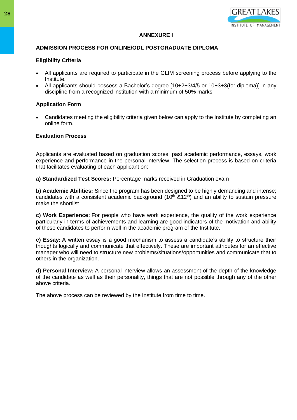

# **ANNEXURE I**

# **ADMISSION PROCESS FOR ONLINE/ODL POSTGRADUATE DIPLOMA**

# **Eligibility Criteria**

- All applicants are required to participate in the GLIM screening process before applying to the Institute.
- All applicants should possess a Bachelor's degree [10+2+3/4/5 or 10+3+3(for diploma)] in any discipline from a recognized institution with a minimum of 50% marks.

# **Application Form**

• Candidates meeting the eligibility criteria given below can apply to the Institute by completing an online form.

# **Evaluation Process**

Applicants are evaluated based on graduation scores, past academic performance, essays, work experience and performance in the personal interview. The selection process is based on criteria that facilitates evaluating of each applicant on:

**a) Standardized Test Scores:** Percentage marks received in Graduation exam

**b) Academic Abilities:** Since the program has been designed to be highly demanding and intense; candidates with a consistent academic background  $(10<sup>th</sup> 812<sup>th</sup>)$  and an ability to sustain pressure make the shortlist

**c) Work Experience:** For people who have work experience, the quality of the work experience particularly in terms of achievements and learning are good indicators of the motivation and ability of these candidates to perform well in the academic program of the Institute.

**c) Essay:** A written essay is a good mechanism to assess a candidate's ability to structure their thoughts logically and communicate that effectively. These are important attributes for an effective manager who will need to structure new problems/situations/opportunities and communicate that to others in the organization.

**d) Personal Interview:** A personal interview allows an assessment of the depth of the knowledge of the candidate as well as their personality, things that are not possible through any of the other above criteria.

The above process can be reviewed by the Institute from time to time.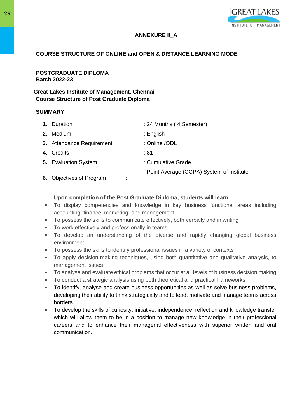

# **ANNEXURE II\_A**

# **COURSE STRUCTURE OF ONLINE and OPEN & DISTANCE LEARNING MODE**

**POSTGRADUATE DIPLOMA Batch 2022-23**

# **Great Lakes Institute of Management, Chennai Course Structure of Post Graduate Diploma**

# **SUMMARY**

| 1. Duration                 | : 24 Months (4 Semester)                 |
|-----------------------------|------------------------------------------|
| 2. Medium                   | $:$ English                              |
| 3. Attendance Requirement   | : Online /ODL                            |
| 4. Credits                  | :81                                      |
| <b>5.</b> Evaluation System | : Cumulative Grade                       |
|                             | Point Average (CGPA) System of Institute |

**6.** Objectives of Program :

# **Upon completion of the Post Graduate Diploma, students will learn**

- To display competencies and knowledge in key business functional areas including accounting, finance, marketing, and management
- To possess the skills to communicate effectively, both verbally and in writing
- To work effectively and professionally in teams
- To develop an understanding of the diverse and rapidly changing global business environment
- To possess the skills to identify professional issues in a variety of contexts
- To apply decision-making techniques, using both quantitative and qualitative analysis, to management issues
- To analyse and evaluate ethical problems that occur at all levels of business decision making
- To conduct a strategic analysis using both theoretical and practical frameworks.
- To identify, analyse and create business opportunities as well as solve business problems, developing their ability to think strategically and to lead, motivate and manage teams across borders.
- To develop the skills of curiosity, initiative, independence, reflection and knowledge transfer which will allow them to be in a position to manage new knowledge in their professional careers and to enhance their managerial effectiveness with superior written and oral communication.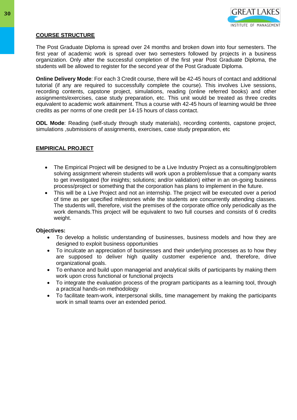

# **COURSE STRUCTURE**

The Post Graduate Diploma is spread over 24 months and broken down into four semesters. The first year of academic work is spread over two semesters followed by projects in a business organization. Only after the successful completion of the first year Post Graduate Diploma, the students will be allowed to register for the second year of the Post Graduate Diploma.

**Online Delivery Mode**: For each 3 Credit course, there will be 42-45 hours of contact and additional tutorial (if any are required to successfully complete the course). This involves Live sessions, recording contents, capstone project, simulations, reading (online referred books) and other assignments/exercises, case study preparation, etc. This unit would be treated as three credits equivalent to academic work attainment. Thus a course with 42-45 hours of learning would be three credits as per norms of one credit per 14-15 hours of class contact.

**ODL Mode**: Reading (self-study through study materials), recording contents, capstone project, simulations ,submissions of assignments, exercises, case study preparation, etc

# **EMPIRICAL PROJECT**

- The Empirical Project will be designed to be a Live Industry Project as a consulting/problem solving assignment wherein students will work upon a problem/issue that a company wants to get investigated (for insights; solutions; and/or validation) either in an on-going business process/project or something that the corporation has plans to implement in the future.
- This will be a Live Project and not an internship. The project will be executed over a period of time as per specified milestones while the students are concurrently attending classes. The students will, therefore, visit the premises of the corporate office only periodically as the work demands.This project will be equivalent to two full courses and consists of 6 credits weight.

#### **Objectives:**

- To develop a holistic understanding of businesses, business models and how they are designed to exploit business opportunities
- To inculcate an appreciation of businesses and their underlying processes as to how they are supposed to deliver high quality customer experience and, therefore, drive organizational goals.
- To enhance and build upon managerial and analytical skills of participants by making them work upon cross functional or functional projects
- To integrate the evaluation process of the program participants as a learning tool, through a practical hands-on methodology
- To facilitate team-work, interpersonal skills, time management by making the participants work in small teams over an extended period.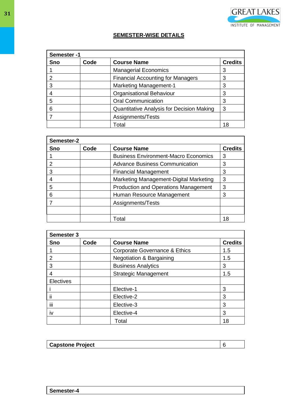

# **SEMESTER-WISE DETAILS**

| Semester-1 |      |                                           |    |
|------------|------|-------------------------------------------|----|
| Sno        | Code | <b>Course Name</b><br><b>Credits</b>      |    |
|            |      | <b>Managerial Economics</b>               | 3  |
| 2          |      | <b>Financial Accounting for Managers</b>  | 3  |
| 3          |      | <b>Marketing Management-1</b><br>3        |    |
|            |      | Organisational Behaviour                  | 3  |
| 5          |      | <b>Oral Communication</b>                 | 3  |
| 6          |      | Quantitative Analysis for Decision Making | 3  |
|            |      | Assignments/Tests                         |    |
|            |      | Total                                     | 18 |

| Semester-2 |      |                                             |                |
|------------|------|---------------------------------------------|----------------|
| <b>Sno</b> | Code | <b>Course Name</b>                          | <b>Credits</b> |
|            |      | <b>Business Environment-Macro Economics</b> | 3              |
|            |      | <b>Advance Business Communication</b>       | 3              |
| 3          |      | <b>Financial Management</b>                 | 3              |
|            |      | Marketing Management-Digital Marketing      | 3              |
| 5          |      | <b>Production and Operations Management</b> | 3              |
| 6          |      | Human Resource Management                   | 3              |
|            |      | Assignments/Tests                           |                |
|            |      |                                             |                |
|            |      | Total                                       | 18             |

| <b>Semester 3</b>       |      |                                     |                |
|-------------------------|------|-------------------------------------|----------------|
| <b>Sno</b>              | Code | <b>Course Name</b>                  | <b>Credits</b> |
|                         |      | Corporate Governance & Ethics       | 1.5            |
| 2                       |      | <b>Negotiation &amp; Bargaining</b> | 1.5            |
| 3                       |      | <b>Business Analytics</b>           | 3              |
| 4                       |      | <b>Strategic Management</b>         | 1.5            |
| Electives               |      |                                     |                |
|                         |      | Elective-1                          | 3              |
| $\cdot$<br>$\mathbf{I}$ |      | Elective-2                          | 3              |
| iii                     |      | Elective-3                          | 3              |
| IV                      |      | Elective-4                          | 3              |
|                         |      | Total                               | 18             |

| Cane'<br>piect |  |
|----------------|--|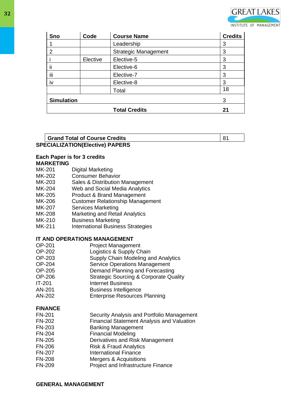

| <b>Sno</b>        | Code     | <b>Course Name</b>          | <b>Credits</b> |
|-------------------|----------|-----------------------------|----------------|
|                   |          | Leadership                  | 3              |
| $\overline{2}$    |          | <b>Strategic Management</b> | 3              |
|                   | Elective | Elective-5                  | 3              |
| ij                |          | Elective-6                  | 3              |
| iii               |          | Elective-7                  | 3              |
| iv                |          | Elective-8                  | 3              |
|                   |          | Total                       | 18             |
| <b>Simulation</b> |          |                             | 3              |
|                   |          | <b>Total Credits</b>        | 21             |

#### **SPECIALIZATION(Elective) PAPERS Grand Total of Course Credits** 81

# **Each Paper is for 3 credits**

# **MARKETING**

- MK-201 Digital Marketing
- MK-202 Consumer Behavior
- MK-203 Sales & Distribution Management
- MK-204 Web and Social Media Analytics
- MK-205 Product & Brand Management<br>MK-206 Customer Relationship Manage
- **Customer Relationship Management**
- MK-207 Services Marketing
- MK-208 Marketing and Retail Analytics
- MK-210 Business Marketing
- MK-211 International Business Strategies

# **IT AND OPERATIONS MANAGEMENT**

| <b>OP-201</b> | <b>Project Management</b>                         |
|---------------|---------------------------------------------------|
| OP-202        | Logistics & Supply Chain                          |
| OP-203        | Supply Chain Modeling and Analytics               |
| <b>OP-204</b> | <b>Service Operations Management</b>              |
| <b>OP-205</b> | Demand Planning and Forecasting                   |
| OP-206        | <b>Strategic Sourcing &amp; Corporate Quality</b> |
| $IT-201$      | <b>Internet Business</b>                          |
| AN-201        | <b>Business Intelligence</b>                      |
| AN-202        | <b>Enterprise Resources Planning</b>              |
|               |                                                   |

# **FINANCE**

| Security Analysis and Portfolio Management        |
|---------------------------------------------------|
| <b>Financial Statement Analysis and Valuation</b> |
| <b>Banking Management</b>                         |
| <b>Financial Modeling</b>                         |
| Derivatives and Risk Management                   |
| <b>Risk &amp; Fraud Analytics</b>                 |
| <b>International Finance</b>                      |
| Mergers & Acquisitions                            |
| Project and Infrastructure Finance                |
|                                                   |

#### **GENERAL MANAGEMENT**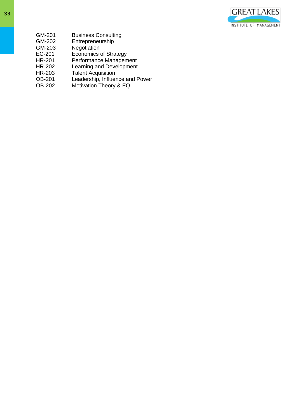

- GM-201 Business Consulting<br>
GM-202 Entrepreneurship
- Entrepreneurship
- GM-203 Negotiation<br>EC-201 Economics
- EC-201 Economics of Strategy
- HR-201 Performance Management
- HR-202 Learning and Development
- HR-203 Talent Acquisition
- OB-201 Leadership, Influence and Power
- OB-202 Motivation Theory & EQ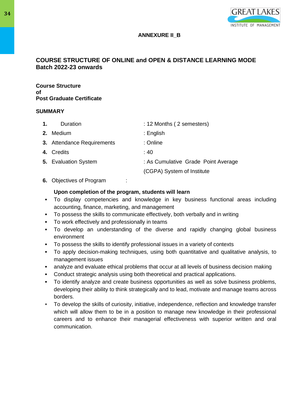

# **ANNEXURE II\_B**

# **COURSE STRUCTURE OF ONLINE and OPEN & DISTANCE LEARNING MODE Batch 2022-23 onwards**

**Course Structure of Post Graduate Certificate**

#### **SUMMARY**

| 1. | Duration                    | : 12 Months (2 semesters)           |
|----|-----------------------------|-------------------------------------|
|    | 2. Medium                   | $:$ English                         |
|    | 3. Attendance Requirements  | : Online                            |
|    | 4. Credits                  | : 40                                |
|    | <b>5.</b> Evaluation System | : As Cumulative Grade Point Average |
|    |                             | (CGPA) System of Institute          |

**6.** Objectives of Program :

# **Upon completion of the program, students will learn**

- To display competencies and knowledge in key business functional areas including accounting, finance, marketing, and management
- To possess the skills to communicate effectively, both verbally and in writing
- To work effectively and professionally in teams
- To develop an understanding of the diverse and rapidly changing global business environment
- To possess the skills to identify professional issues in a variety of contexts
- To apply decision-making techniques, using both quantitative and qualitative analysis, to management issues
- analyze and evaluate ethical problems that occur at all levels of business decision making
- Conduct strategic analysis using both theoretical and practical applications.
- To identify analyze and create business opportunities as well as solve business problems, developing their ability to think strategically and to lead, motivate and manage teams across borders.
- To develop the skills of curiosity, initiative, independence, reflection and knowledge transfer which will allow them to be in a position to manage new knowledge in their professional careers and to enhance their managerial effectiveness with superior written and oral communication.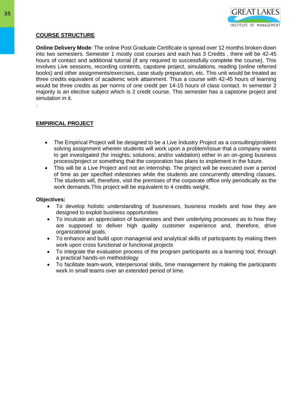

# **COURSE STRUCTURE**

**Online Delivery Mode**: The online Post Graduate Certificate is spread over 12 months broken down into two semesters. Semester 1 mostly cost courses and each has 3 Credits , there will be 42-45 hours of contact and additional tutorial (if any required to successfully complete the course). This involves Live sessions, recording contents, capstone project, simulations, reading (online referred books) and other assignments/exercises, case study preparation, etc. This unit would be treated as three credits equivalent of academic work attainment. Thus a course with 42-45 hours of learning would be three credits as per norms of one credit per 14-15 hours of class contact. In semester 2 majority is an elective subject which is 2 credit course. This semester has a capstone project and simulation in it.

# **EMPIRICAL PROJECT**

.

- The Empirical Project will be designed to be a Live Industry Project as a consulting/problem solving assignment wherein students will work upon a problem/issue that a company wants to get investigated (for insights; solutions; and/or validation) either in an on-going business process/project or something that the corporation has plans to implement in the future.
- This will be a Live Project and not an internship. The project will be executed over a period of time as per specified milestones while the students are concurrently attending classes. The students will, therefore, visit the premises of the corporate office only periodically as the work demands.This project will be equivalent to 4 credits weight.

#### **Objectives:**

- To develop holistic understanding of businesses, business models and how they are designed to exploit business opportunities
- To inculcate an appreciation of businesses and their underlying processes as to how they are supposed to deliver high quality customer experience and, therefore, drive organizational goals.
- To enhance and build upon managerial and analytical skills of participants by making them work upon cross functional or functional projects
- To integrate the evaluation process of the program participants as a learning tool, through a practical hands-on methodology
- To facilitate team-work, interpersonal skills, time management by making the participants work in small teams over an extended period of time.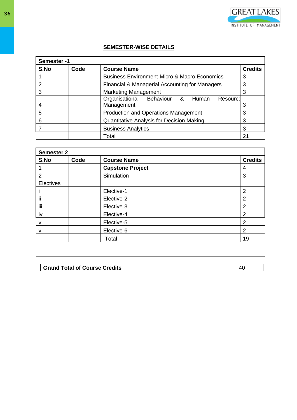

# **SEMESTER-WISE DETAILS**

| Semester -1 |      |                                                         |    |  |
|-------------|------|---------------------------------------------------------|----|--|
| S.No        | Code | <b>Course Name</b><br><b>Credits</b>                    |    |  |
|             |      | <b>Business Environment-Micro &amp; Macro Economics</b> | 3  |  |
|             |      | Financial & Managerial Accounting for Managers          | 3  |  |
| 3           |      | <b>Marketing Management</b>                             |    |  |
|             |      | Organisational Behaviour &<br>Human<br>Resource         |    |  |
| 4           |      | Management                                              | 3  |  |
| 5           |      | <b>Production and Operations Management</b>             | 3  |  |
| 6           |      | Quantitative Analysis for Decision Making               |    |  |
|             |      | <b>Business Analytics</b>                               | 3  |  |
|             |      | Total                                                   | 21 |  |

| <b>Semester 2</b> |      |                         |                |
|-------------------|------|-------------------------|----------------|
| S.No              | Code | <b>Course Name</b>      | <b>Credits</b> |
|                   |      | <b>Capstone Project</b> | 4              |
| 2                 |      | Simulation              | 3              |
| Electives         |      |                         |                |
|                   |      | Elective-1              | $\overline{2}$ |
| ij                |      | Elective-2              | $\overline{2}$ |
| iii               |      | Elective-3              | 2              |
| iv                |      | Elective-4              | $\overline{2}$ |
| v                 |      | Elective-5              | $\overline{2}$ |
| vi                |      | Elective-6              | 2              |
|                   |      | Total                   | 19             |

# **Grand Total of Course Credits** 40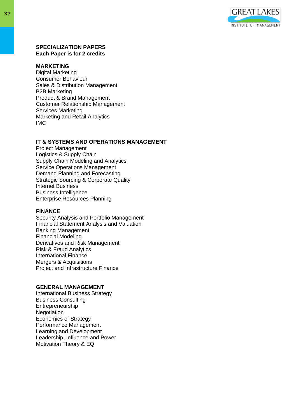

## **SPECIALIZATION PAPERS Each Paper is for 2 credits**

#### **MARKETING**

Digital Marketing Consumer Behaviour Sales & Distribution Management B2B Marketing Product & Brand Management Customer Relationship Management Services Marketing Marketing and Retail Analytics IMC

# **IT & SYSTEMS AND OPERATIONS MANAGEMENT**

Project Management Logistics & Supply Chain Supply Chain Modeling and Analytics Service Operations Management Demand Planning and Forecasting Strategic Sourcing & Corporate Quality Internet Business Business Intelligence Enterprise Resources Planning

#### **FINANCE**

Security Analysis and Portfolio Management Financial Statement Analysis and Valuation Banking Management Financial Modeling Derivatives and Risk Management Risk & Fraud Analytics International Finance Mergers & Acquisitions Project and Infrastructure Finance

## **GENERAL MANAGEMENT**

International Business Strategy Business Consulting Entrepreneurship **Negotiation** Economics of Strategy Performance Management Learning and Development Leadership, Influence and Power Motivation Theory & EQ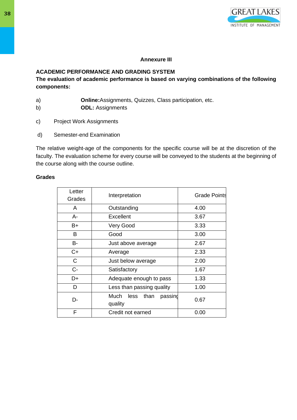

# **Annexure III**

# **ACADEMIC PERFORMANCE AND GRADING SYSTEM**

**The evaluation of academic performance is based on varying combinations of the following components:** 

- a) **Online:**Assignments, Quizzes, Class participation, etc.
- b) **ODL:** Assignments
- c) Project Work Assignments
- d) Semester-end Examination

The relative weight-age of the components for the specific course will be at the discretion of the faculty. The evaluation scheme for every course will be conveyed to the students at the beginning of the course along with the course outline.

# **Grades**

| Letter<br>Grades | Interpretation                             | <b>Grade Points</b> |
|------------------|--------------------------------------------|---------------------|
| A                | Outstanding                                | 4.00                |
| A-               | Excellent                                  | 3.67                |
| B+               | Very Good                                  | 3.33                |
| В                | Good                                       | 3.00                |
| <b>B-</b>        | Just above average                         | 2.67                |
| C+               | Average                                    | 2.33                |
| C                | Just below average                         | 2.00                |
| $C -$            | Satisfactory                               | 1.67                |
| D+               | Adequate enough to pass                    | 1.33                |
| D                | Less than passing quality                  | 1.00                |
| n.               | Much<br>less<br>than<br>passing<br>quality | 0.67                |
| F                | Credit not earned                          | 0.00                |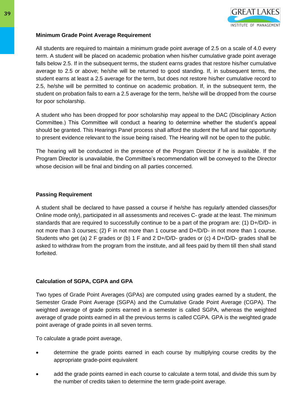

# **Minimum Grade Point Average Requirement**

All students are required to maintain a minimum grade point average of 2.5 on a scale of 4.0 every term. A student will be placed on academic probation when his/her cumulative grade point average falls below 2.5. If in the subsequent terms, the student earns grades that restore his/her cumulative average to 2.5 or above; he/she will be returned to good standing. If, in subsequent terms, the student earns at least a 2.5 average for the term, but does not restore his/her cumulative record to 2.5, he/she will be permitted to continue on academic probation. If, in the subsequent term, the student on probation fails to earn a 2.5 average for the term, he/she will be dropped from the course for poor scholarship.

A student who has been dropped for poor scholarship may appeal to the DAC (Disciplinary Action Committee.) This Committee will conduct a hearing to determine whether the student's appeal should be granted. This Hearings Panel process shall afford the student the full and fair opportunity to present evidence relevant to the issue being raised. The Hearing will not be open to the public.

The hearing will be conducted in the presence of the Program Director if he is available. If the Program Director is unavailable, the Committee's recommendation will be conveyed to the Director whose decision will be final and binding on all parties concerned.

# **Passing Requirement**

A student shall be declared to have passed a course if he/she has regularly attended classes(for Online mode only), participated in all assessments and receives C- grade at the least. The minimum standards that are required to successfully continue to be a part of the program are: (1) D+/D/D- in not more than 3 courses; (2) F in not more than 1 course and D+/D/D- in not more than 1 course. Students who get (a) 2 F grades or (b) 1 F and 2 D+/D/D- grades or (c) 4 D+/D/D- grades shall be asked to withdraw from the program from the institute, and all fees paid by them till then shall stand forfeited.

# **Calculation of SGPA, CGPA and GPA**

Two types of Grade Point Averages (GPAs) are computed using grades earned by a student, the Semester Grade Point Average (SGPA) and the Cumulative Grade Point Average (CGPA). The weighted average of grade points earned in a semester is called SGPA, whereas the weighted average of grade points earned in all the previous terms is called CGPA. GPA is the weighted grade point average of grade points in all seven terms.

To calculate a grade point average,

- determine the grade points earned in each course by multiplying course credits by the appropriate grade-point equivalent
- add the grade points earned in each course to calculate a term total, and divide this sum by the number of credits taken to determine the term grade-point average.